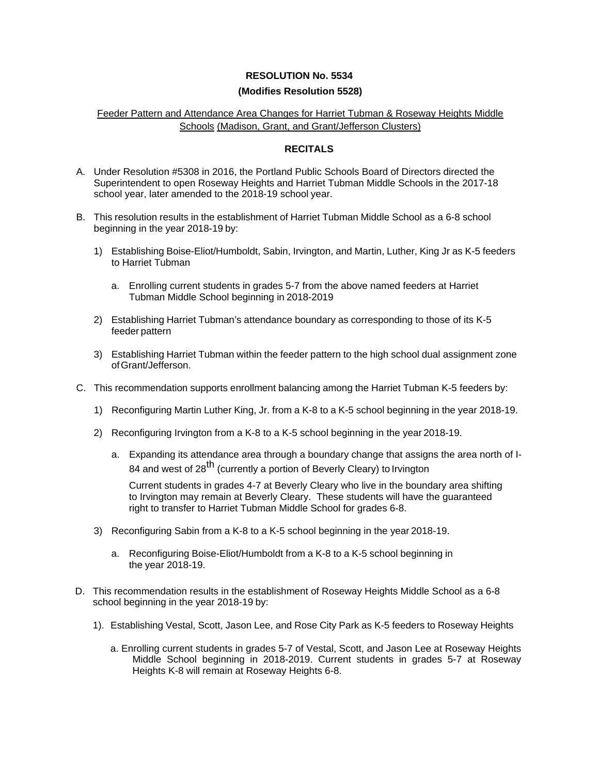## **RESOLUTION No. 5534**

### **(Modifies Resolution 5528)**

# Feeder Pattern and Attendance Area Changes for Harriet Tubman & Roseway Heights Middle Schools (Madison, Grant, and Grant/Jefferson Clusters)

### **RECITALS**

- A. Under Resolution #5308 in 2016, the Portland Public Schools Board of Directors directed the Superintendent to open Roseway Heights and Harriet Tubman Middle Schools in the 2017-18 school year, later amended to the 2018-19 school year.
- B. This resolution results in the establishment of Harriet Tubman Middle School as a 6-8 school beginning in the year 2018-19 by:
	- 1) Establishing Boise-Eliot/Humboldt, Sabin, Irvington, and Martin, Luther, King Jr as K-5 feeders to Harriet Tubman
		- a. Enrolling current students in grades 5-7 from the above named feeders at Harriet Tubman Middle School beginning in 2018-2019
	- 2) Establishing Harriet Tubman's attendance boundary as corresponding to those of its K-5 feeder pattern
	- 3) Establishing Harriet Tubman within the feeder pattern to the high school dual assignment zone of Grant/Jefferson.
- C. This recommendation supports enrollment balancing among the Harriet Tubman K-5 feeders by:
	- 1) Reconfiguring Martin Luther King, Jr. from a K-8 to a K-5 school beginning in the year 2018-19.
	- 2) Reconfiguring Irvington from a K-8 to a K-5 school beginning in the year 2018-19.
		- a. Expanding its attendance area through a boundary change that assigns the area north of I-84 and west of 28<sup>th</sup> (currently a portion of Beverly Cleary) to Irvington

Current students in grades 4-7 at Beverly Cleary who live in the boundary area shifting to Irvington may remain at Beverly Cleary. These students will have the guaranteed right to transfer to Harriet Tubman Middle School for grades 6-8.

- 3) Reconfiguring Sabin from a K-8 to a K-5 school beginning in the year 2018-19.
	- a. Reconfiguring Boise-Eliot/Humboldt from a K-8 to a K-5 school beginning in the year 2018-19.
- D. This recommendation results in the establishment of Roseway Heights Middle School as a 6-8 school beginning in the year 2018-19 by:
	- 1). Establishing Vestal, Scott, Jason Lee, and Rose City Park as K-5 feeders to Roseway Heights
		- a. Enrolling current students in grades 5-7 of Vestal, Scott, and Jason Lee at Roseway Heights Middle School beginning in 2018-2019. Current students in grades 5-7 at Roseway Heights K-8 will remain at Roseway Heights 6-8.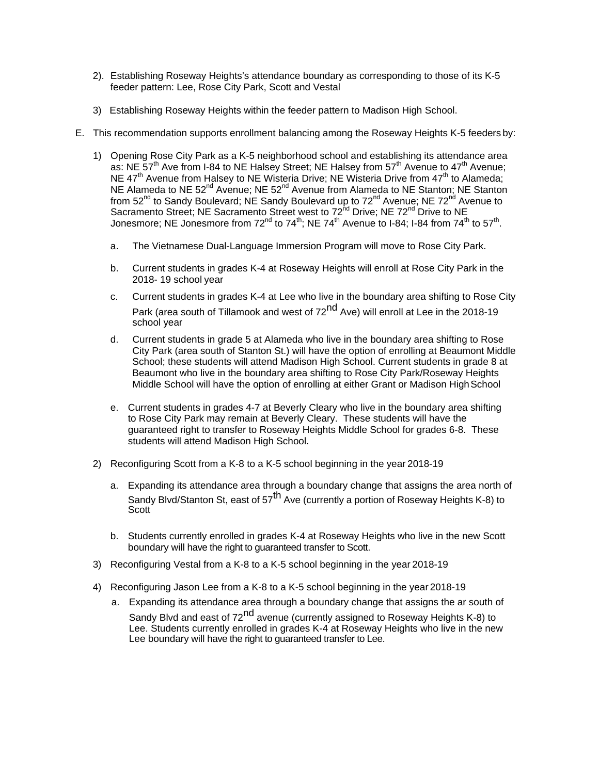- 2). Establishing Roseway Heights's attendance boundary as corresponding to those of its K-5 feeder pattern: Lee, Rose City Park, Scott and Vestal
- 3) Establishing Roseway Heights within the feeder pattern to Madison High School.
- E. This recommendation supports enrollment balancing among the Roseway Heights K-5 feeders by:
	- 1) Opening Rose City Park as a K-5 neighborhood school and establishing its attendance area as: NE  $57<sup>th</sup>$  Ave from I-84 to NE Halsey Street; NE Halsey from  $57<sup>th</sup>$  Avenue to  $47<sup>th</sup>$  Avenue; NE  $47<sup>th</sup>$  Avenue from Halsey to NE Wisteria Drive; NE Wisteria Drive from  $47<sup>th</sup>$  to Alameda; NE Alameda to NE 52<sup>nd</sup> Avenue; NE 52<sup>nd</sup> Avenue from Alameda to NE Stanton; NE Stanton from 52<sup>nd</sup> to Sandy Boulevard; NE Sandy Boulevard up to 72<sup>nd</sup> Avenue; NE 72<sup>nd</sup> Avenue to Sacramento Street; NE Sacramento Street west to 72<sup>nd</sup> Drive; NE 72<sup>nd</sup> Drive to NE Jonesmore; NE Jonesmore from 72<sup>nd</sup> to 74<sup>th</sup>; NE 74<sup>th</sup> Avenue to I-84; I-84 from 74<sup>th</sup> to 57<sup>th</sup>.
		- a. The Vietnamese Dual-Language Immersion Program will move to Rose City Park.
		- b. Current students in grades K-4 at Roseway Heights will enroll at Rose City Park in the 2018- 19 school year
		- c. Current students in grades K-4 at Lee who live in the boundary area shifting to Rose City Park (area south of Tillamook and west of  $72<sup>nd</sup>$  Ave) will enroll at Lee in the 2018-19 school year
		- d. Current students in grade 5 at Alameda who live in the boundary area shifting to Rose City Park (area south of Stanton St.) will have the option of enrolling at Beaumont Middle School; these students will attend Madison High School. Current students in grade 8 at Beaumont who live in the boundary area shifting to Rose City Park/Roseway Heights Middle School will have the option of enrolling at either Grant or Madison High School
		- e. Current students in grades 4-7 at Beverly Cleary who live in the boundary area shifting to Rose City Park may remain at Beverly Cleary. These students will have the guaranteed right to transfer to Roseway Heights Middle School for grades 6-8. These students will attend Madison High School.
	- 2) Reconfiguring Scott from a K-8 to a K-5 school beginning in the year 2018-19
		- a. Expanding its attendance area through a boundary change that assigns the area north of Sandy Blvd/Stanton St, east of 57<sup>th</sup> Ave (currently a portion of Roseway Heights K-8) to Scott
		- b. Students currently enrolled in grades K-4 at Roseway Heights who live in the new Scott boundary will have the right to guaranteed transfer to Scott.
	- 3) Reconfiguring Vestal from a K-8 to a K-5 school beginning in the year 2018-19
	- 4) Reconfiguring Jason Lee from a K-8 to a K-5 school beginning in the year 2018-19
		- a. Expanding its attendance area through a boundary change that assigns the ar south of Sandy Blvd and east of 72<sup>nd</sup> avenue (currently assigned to Roseway Heights K-8) to Lee. Students currently enrolled in grades K-4 at Roseway Heights who live in the new Lee boundary will have the right to guaranteed transfer to Lee.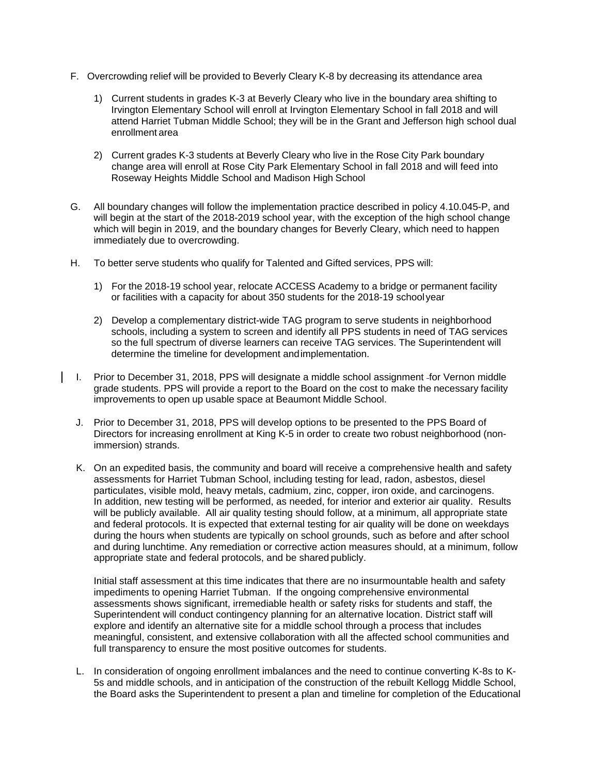- F. Overcrowding relief will be provided to Beverly Cleary K-8 by decreasing its attendance area
	- 1) Current students in grades K-3 at Beverly Cleary who live in the boundary area shifting to Irvington Elementary School will enroll at Irvington Elementary School in fall 2018 and will attend Harriet Tubman Middle School; they will be in the Grant and Jefferson high school dual enrollment area
	- 2) Current grades K-3 students at Beverly Cleary who live in the Rose City Park boundary change area will enroll at Rose City Park Elementary School in fall 2018 and will feed into Roseway Heights Middle School and Madison High School
- G. All boundary changes will follow the implementation practice described in policy 4.10.045-P, and will begin at the start of the 2018-2019 school year, with the exception of the high school change which will begin in 2019, and the boundary changes for Beverly Cleary, which need to happen immediately due to overcrowding.
- H. To better serve students who qualify for Talented and Gifted services, PPS will:
	- 1) For the 2018-19 school year, relocate ACCESS Academy to a bridge or permanent facility or facilities with a capacity for about 350 students for the 2018-19 school year
	- 2) Develop a complementary district-wide TAG program to serve students in neighborhood schools, including a system to screen and identify all PPS students in need of TAG services so the full spectrum of diverse learners can receive TAG services. The Superintendent will determine the timeline for development and implementation.
- I. Prior to December 31, 2018, PPS will designate a middle school assignment for Vernon middle grade students. PPS will provide a report to the Board on the cost to make the necessary facility improvements to open up usable space at Beaumont Middle School.
- J. Prior to December 31, 2018, PPS will develop options to be presented to the PPS Board of Directors for increasing enrollment at King K-5 in order to create two robust neighborhood (nonimmersion) strands.
- K. On an expedited basis, the community and board will receive a comprehensive health and safety assessments for Harriet Tubman School, including testing for lead, radon, asbestos, diesel particulates, visible mold, heavy metals, cadmium, zinc, copper, iron oxide, and carcinogens. In addition, new testing will be performed, as needed, for interior and exterior air quality. Results will be publicly available. All air quality testing should follow, at a minimum, all appropriate state and federal protocols. It is expected that external testing for air quality will be done on weekdays during the hours when students are typically on school grounds, such as before and after school and during lunchtime. Any remediation or corrective action measures should, at a minimum, follow appropriate state and federal protocols, and be shared publicly.

Initial staff assessment at this time indicates that there are no insurmountable health and safety impediments to opening Harriet Tubman. If the ongoing comprehensive environmental assessments shows significant, irremediable health or safety risks for students and staff, the Superintendent will conduct contingency planning for an alternative location. District staff will explore and identify an alternative site for a middle school through a process that includes meaningful, consistent, and extensive collaboration with all the affected school communities and full transparency to ensure the most positive outcomes for students.

L. In consideration of ongoing enrollment imbalances and the need to continue converting K-8s to K-5s and middle schools, and in anticipation of the construction of the rebuilt Kellogg Middle School, the Board asks the Superintendent to present a plan and timeline for completion of the Educational